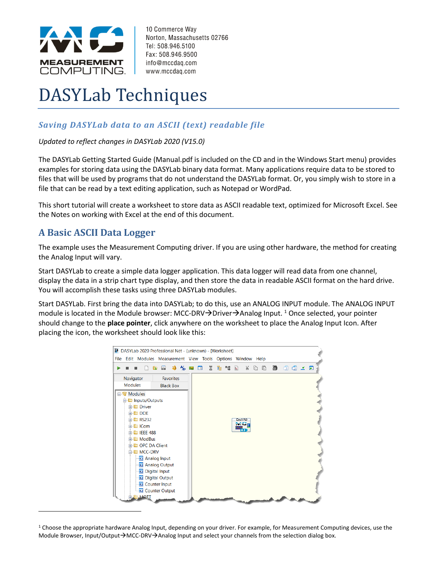

10 Commerce Way Norton, Massachusetts 02766 Tel: 508.946.5100 Fax: 508.946.9500 info@mccdaq.com www.mccdaq.com

# DASYLab Techniques

## *Saving DASYLab data to an ASCII (text) readable file*

#### *Updated to reflect changes in DASYLab 2020 (V15.0)*

The DASYLab Getting Started Guide (Manual.pdf is included on the CD and in the Windows Start menu) provides examples for storing data using the DASYLab binary data format. Many applications require data to be stored to files that will be used by programs that do not understand the DASYLab format. Or, you simply wish to store in a file that can be read by a text editing application, such as Notepad or WordPad.

This short tutorial will create a worksheet to store data as ASCII readable text, optimized for Microsoft Excel. See the Notes on working with Excel at the end of this document.

# **A Basic ASCII Data Logger**

The example uses the Measurement Computing driver. If you are using other hardware, the method for creating the Analog Input will vary.

Start DASYLab to create a simple data logger application. This data logger will read data from one channel, display the data in a strip chart type display, and then store the data in readable ASCII format on the hard drive. You will accomplish these tasks using three DASYLab modules.

Start DASYLab. First bring the data into DASYLab; to do this, use an ANALOG INPUT module. The ANALOG INPUT module is located in the Module browser: MCC-DRV→Driver→Analog Input. <sup>1</sup> Once selected, your pointer should change to the **place pointer**, click anywhere on the worksheet to place the Analog Input Icon. After placing the icon, the worksheet should look like this:



<sup>1</sup> Choose the appropriate hardware Analog Input, depending on your driver. For example, for Measurement Computing devices, use the Module Browser, Input/Output→MCC-DRV→Analog Input and select your channels from the selection dialog box.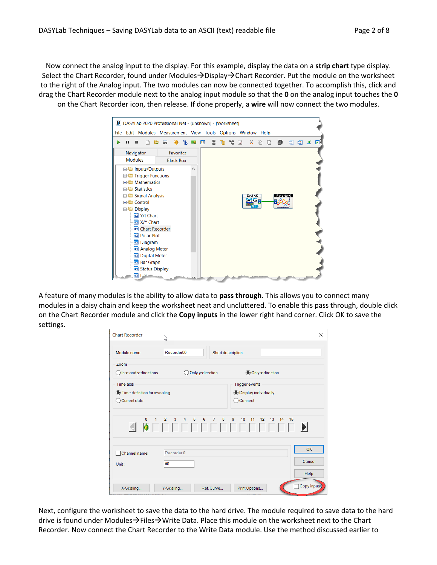Now connect the analog input to the display. For this example, display the data on a **strip chart** type display. Select the Chart Recorder, found under Modules→Display→Chart Recorder. Put the module on the worksheet to the right of the Analog input. The two modules can now be connected together. To accomplish this, click and drag the Chart Recorder module next to the analog input module so that the **0** on the analog input touches the **0** on the Chart Recorder icon, then release. If done properly, a **wire** will now connect the two modules.



A feature of many modules is the ability to allow data to **pass through**. This allows you to connect many modules in a daisy chain and keep the worksheet neat and uncluttered. To enable this pass through, double click on the Chart Recorder module and click the **Copy inputs** in the lower right hand corner. Click OK to save the settings.

| <b>Chart Recorder</b>                                                    | N                                |                                                                   |                  | $\times$            |
|--------------------------------------------------------------------------|----------------------------------|-------------------------------------------------------------------|------------------|---------------------|
| Module name:                                                             | Recorder00<br>Short description: |                                                                   |                  |                     |
| <b>Zoom</b><br>$\bigcirc$ In x- and y-directions                         | Only y-direction                 |                                                                   | Only x-direction |                     |
| <b>Time axis</b><br>Time definition for x-scaling<br><b>Current date</b> |                                  | <b>Trigger events</b><br>◯ Display individually<br>Connect<br>- 1 |                  |                     |
|                                                                          |                                  |                                                                   |                  |                     |
| Channel name:<br>Unit:                                                   | Recorder 0<br>#0                 |                                                                   |                  | <b>OK</b><br>Cancel |
| X-Scaling                                                                | Y-Scaling                        | Print Options<br>Ref. Curve                                       |                  | Help<br>Copy inputs |

Next, configure the worksheet to save the data to the hard drive. The module required to save data to the hard drive is found under Modules→Files→Write Data. Place this module on the worksheet next to the Chart Recorder. Now connect the Chart Recorder to the Write Data module. Use the method discussed earlier to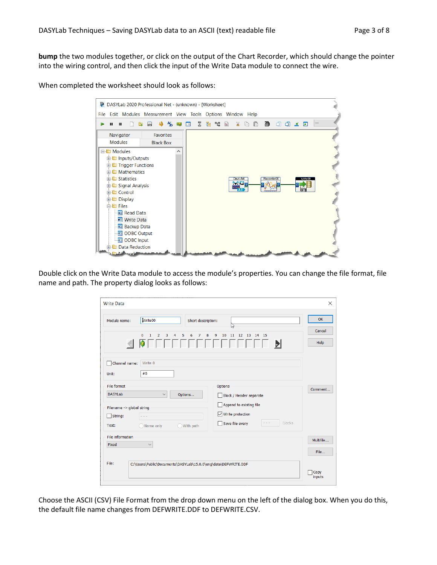**bump** the two modules together, or click on the output of the Chart Recorder, which should change the pointer into the wiring control, and then click the input of the Write Data module to connect the wire.

When completed the worksheet should look as follows:



Double click on the Write Data module to access the module's properties. You can change the file format, file name and path. The property dialog looks as follows:

| <b>Write Data</b>         |                                                                                                        | X              |
|---------------------------|--------------------------------------------------------------------------------------------------------|----------------|
| Module name:              | Write00<br>Short description:                                                                          | OK             |
|                           | ζ,<br>8<br>9<br>10<br>$\Omega$<br>1<br>5<br>7<br>11<br>12  13  14  15<br>$\overline{2}$<br>3<br>4<br>6 | Cancel         |
|                           | <b>.</b><br>E                                                                                          | Help           |
| Channel name:<br>Unit:    | Write 0<br>#0                                                                                          |                |
| File format               | Options                                                                                                | Comment        |
| <b>DASYLab</b>            | Options<br>$\checkmark$<br>Block / Header separate                                                     |                |
| Filename -> global string | Append to existing file                                                                                |                |
| $\Box$ String:            | $\sqrt{\phantom{a}}$ Write protection                                                                  |                |
| Text:                     | Blocks<br>Save file every<br>◯ With path<br>Name only                                                  |                |
| File information          |                                                                                                        | Multifile      |
| Fixed                     | $\checkmark$                                                                                           | File           |
|                           |                                                                                                        |                |
| File:                     | C:\Users\Public\Documents\DASYLab\15.0.0\eng\data\DEFWRITE.DDF                                         | Copy<br>inputs |

Choose the ASCII (CSV) File Format from the drop down menu on the left of the dialog box. When you do this, the default file name changes from DEFWRITE.DDF to DEFWRITE.CSV.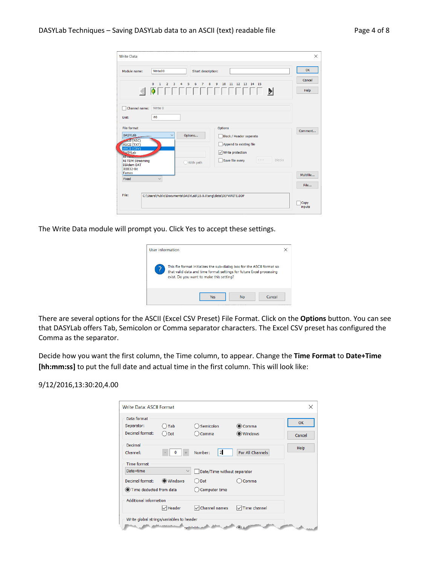| <b>Write Data</b>                                                                                                                                                                               |                                                                                                                                                                         |                   |
|-------------------------------------------------------------------------------------------------------------------------------------------------------------------------------------------------|-------------------------------------------------------------------------------------------------------------------------------------------------------------------------|-------------------|
| Module name:                                                                                                                                                                                    | Write00<br>Short description:                                                                                                                                           | OK                |
|                                                                                                                                                                                                 | 8<br>$\mathbf{0}$<br>$\overline{2}$<br>3<br>5<br>$\overline{7}$<br>9<br>10 11 12 13 14 15<br>$\mathbf{1}$<br>4<br>6<br>O FELECIA DE LA PARTICIO DE LA PARTICIO DELLA DI | Cancel<br>Help    |
| Channel name:<br>Unit:                                                                                                                                                                          | Write 0<br>#0                                                                                                                                                           |                   |
| File format<br><b>DASYLab</b><br><b>MocII</b> (ASC)<br>ASCII (TXT)<br><b>ASCII (CSV)</b><br><b>PASYLab</b><br><b>NTTDP</b><br><b>NI TDM Streaming</b><br><b>DIAdem DAT</b><br><b>IEEE32-Bit</b> | <b>Options</b><br>Options<br>Block / Header separate<br>Append to existing file<br>$\sqrt{\phantom{a}}$ Write protection<br>Blocks<br>Save file every<br>With path      | Comment           |
| Famos<br>Fixed                                                                                                                                                                                  | $\checkmark$                                                                                                                                                            | Multifile<br>File |
| File:                                                                                                                                                                                           | C:\Users\Public\Documents\DASYLab\15.0.0\eng\data\DEFWRITE.DDF                                                                                                          | Copy<br>inputs    |

The Write Data module will prompt you. Click Yes to accept these settings.

| User information                                                                                                                                                                            |                            | × |  |  |
|---------------------------------------------------------------------------------------------------------------------------------------------------------------------------------------------|----------------------------|---|--|--|
| This file format initializes the sub-dialog box for the ASCII format so<br>that valid data and time format settings for future Excel processing<br>exist. Do you want to make this setting? |                            |   |  |  |
|                                                                                                                                                                                             | <b>No</b><br>Cancel<br>Yes |   |  |  |

There are several options for the ASCII (Excel CSV Preset) File Format. Click on the **Options** button. You can see that DASYLab offers Tab, Semicolon or Comma separator characters. The Excel CSV preset has configured the Comma as the separator.

Decide how you want the first column, the Time column, to appear. Change the **Time Format** to **Date+Time [hh:mm:ss]** to put the full date and actual time in the first column. This will look like:

#### 9/12/2016,13:30:20,4.00

| Write Data: ASCII Format                     |                                          |                             |                         | X            |
|----------------------------------------------|------------------------------------------|-----------------------------|-------------------------|--------------|
| Data format<br>Separator:<br>Decimal format: | Tab<br>Dot                               | Semicolon<br>Comma          | Comma<br><b>Windows</b> | OK<br>Cancel |
| Decimal<br>Channel:                          |                                          | $\overline{2}$<br>Number:   | For All Channels        | Help         |
| <b>Time format</b><br>Date+time              | $\checkmark$                             | Date/Time without separator |                         |              |
| Decimal format:                              | ◉ Windows                                | Dot                         | Comma                   |              |
| Time deducted from data                      |                                          | Computer time               |                         |              |
| <b>Additional information</b>                |                                          |                             |                         |              |
|                                              | $\sqrt{}$ Header                         | Channel names               | Time channel            |              |
|                                              | Write global strings/variables to header |                             |                         |              |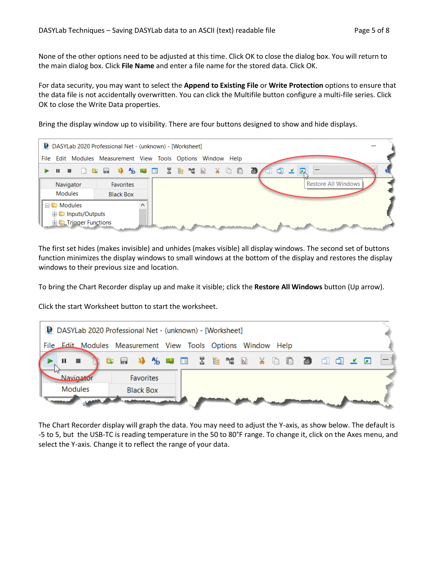None of the other options need to be adjusted at this time. Click OK to close the dialog box. You will return to the main dialog box. Click **File Name** and enter a file name for the stored data. Click OK.

For data security, you may want to select the **Append to Existing File** or **Write Protection** options to ensure that the data file is not accidentally overwritten. You can click the Multifile button configure a multi-file series. Click OK to close the Write Data properties.

Bring the display window up to visibility. There are four buttons designed to show and hide displays.



The first set hides (makes invisible) and unhides (makes visible) all display windows. The second set of buttons function minimizes the display windows to small windows at the bottom of the display and restores the display windows to their previous size and location.

To bring the Chart Recorder display up and make it visible; click the **Restore All Windows** button (Up arrow).

Click the start Worksheet button to start the worksheet.



The Chart Recorder display will graph the data. You may need to adjust the Y-axis, as show below. The default is -5 to 5, but the USB-TC is reading temperature in the 50 to 80°F range. To change it, click on the Axes menu, and select the Y-axis. Change it to reflect the range of your data.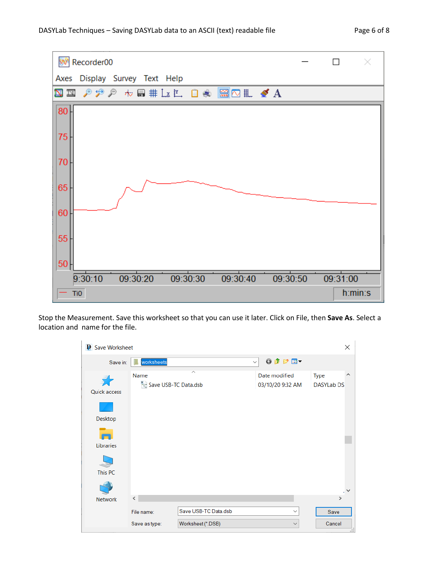



Stop the Measurement. Save this worksheet so that you can use it later. Click on File, then **Save As**. Select a location and name for the file.

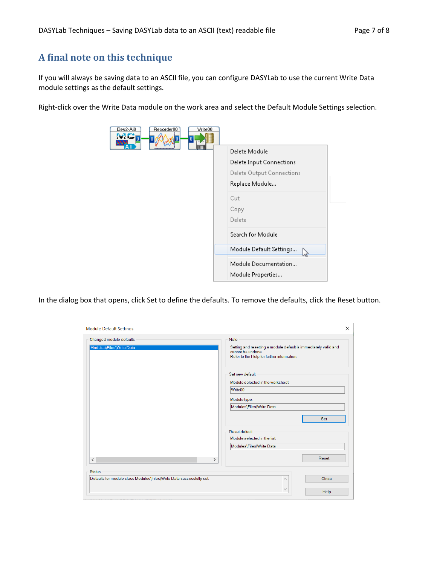### **A final note on this technique**

If you will always be saving data to an ASCII file, you can configure DASYLab to use the current Write Data module settings as the default settings.

Right-click over the Write Data module on the work area and select the Default Module Settings selection.

| Recorder00<br>Dev2-Ai0<br>Write00<br>- 10 |                                           |
|-------------------------------------------|-------------------------------------------|
|                                           | Delete Module                             |
|                                           | <b>Delete Input Connections</b>           |
|                                           | Delete Output Connections                 |
|                                           | Replace Module                            |
|                                           | Cut                                       |
|                                           | Copy                                      |
|                                           | Delete                                    |
|                                           | Search for Module                         |
|                                           | Module Default Settings<br>ピ              |
|                                           | Module Documentation<br>Module Properties |

In the dialog box that opens, click Set to define the defaults. To remove the defaults, click the Reset button.

| <b>Module Default Settings</b>                                                        | $\times$                                                                                                                                          |  |  |
|---------------------------------------------------------------------------------------|---------------------------------------------------------------------------------------------------------------------------------------------------|--|--|
| Changed module defaults<br>Modules\Files\Write Data                                   | <b>Note</b><br>Setting and resetting a module default is immediately valid and<br>cannot be undone.<br>Refer to the Help for further information. |  |  |
|                                                                                       | Set new default<br>Module selected in the worksheet<br>Write00<br>Module type:<br>Modules\Files\Write Data                                        |  |  |
| $\,$ $\,$<br>⋗                                                                        | Set<br>Reset default<br>Module selected in the list:<br>Modules\Files\Write Data<br>Reset                                                         |  |  |
| <b>Status</b><br>Defaults for module class Modules\Files\Write Data successfully set. | Close<br>$\widehat{\phantom{a}}$<br>$\searrow$<br>Help                                                                                            |  |  |